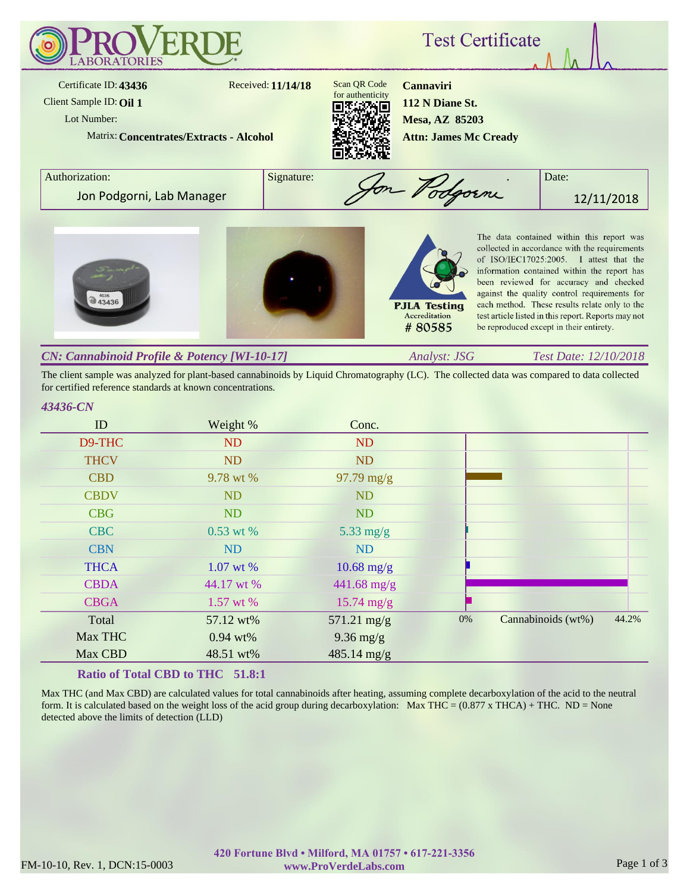

The client sample was analyzed for plant-based cannabinoids by Liquid Chromatography (LC). The collected data was compared to data collected for certified reference standards at known concentrations.

#### *43436-CN*

| ID          | Weight %   | Conc.                 |       |                    |       |
|-------------|------------|-----------------------|-------|--------------------|-------|
| D9-THC      | <b>ND</b>  | ND                    |       |                    |       |
| <b>THCV</b> | <b>ND</b>  | <b>ND</b>             |       |                    |       |
| <b>CBD</b>  | 9.78 wt %  | $97.79 \text{ mg/g}$  |       |                    |       |
| <b>CBDV</b> | <b>ND</b>  | <b>ND</b>             |       |                    |       |
| <b>CBG</b>  | <b>ND</b>  | <b>ND</b>             |       |                    |       |
| <b>CBC</b>  | 0.53 wt %  | $5.33$ mg/g           |       |                    |       |
| <b>CBN</b>  | <b>ND</b>  | <b>ND</b>             |       |                    |       |
| <b>THCA</b> | 1.07 wt %  | $10.68$ mg/g          |       |                    |       |
| <b>CBDA</b> | 44.17 wt % | $441.68$ mg/g         |       |                    |       |
| <b>CBGA</b> | 1.57 wt %  | $15.74 \text{ mg/g}$  |       |                    |       |
| Total       | 57.12 wt%  | $571.21 \text{ mg/g}$ | $0\%$ | Cannabinoids (wt%) | 44.2% |
| Max THC     | $0.94$ wt% | $9.36$ mg/g           |       |                    |       |
| Max CBD     | 48.51 wt%  | $485.14 \text{ mg/g}$ |       |                    |       |

## **Ratio of Total CBD to THC 51.8:1**

Max THC (and Max CBD) are calculated values for total cannabinoids after heating, assuming complete decarboxylation of the acid to the neutral form. It is calculated based on the weight loss of the acid group during decarboxylation: Max THC =  $(0.877 \times THCA) + THC$ . ND = None detected above the limits of detection (LLD)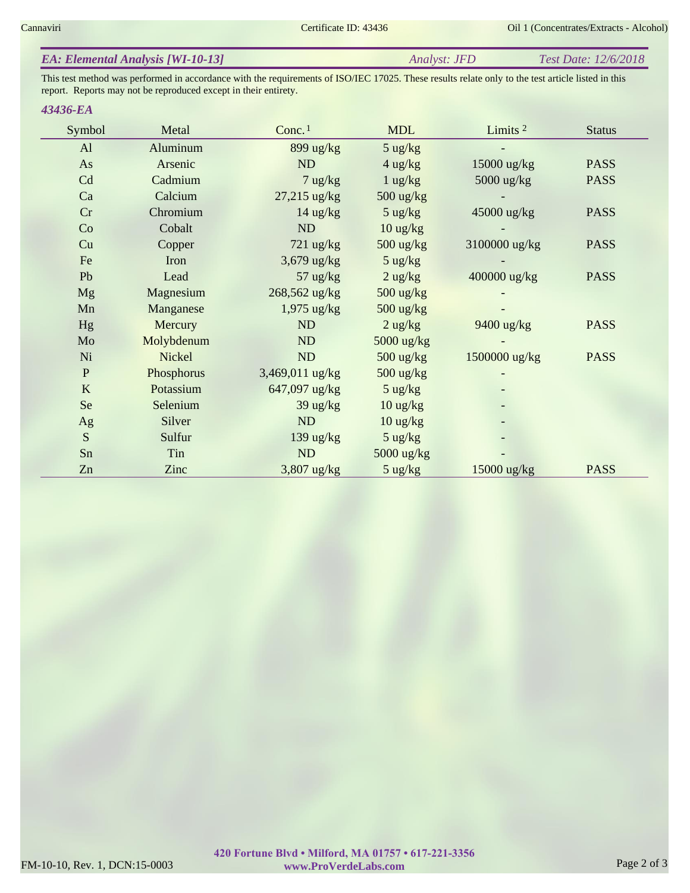| <b>EA: Elemental Analysis [WI-10-13]</b> | Analyst: <b>JFD</b> | <i>Test Date: 12/6/2018</i> |
|------------------------------------------|---------------------|-----------------------------|
|------------------------------------------|---------------------|-----------------------------|

This test method was performed in accordance with the requirements of ISO/IEC 17025. These results relate only to the test article listed in this report. Reports may not be reproduced except in their entirety.

#### *43436-EA*

| Symbol      | Metal      | Conc. <sup>1</sup> | <b>MDL</b>         | Limits $2$    | <b>Status</b> |
|-------------|------------|--------------------|--------------------|---------------|---------------|
| AI          | Aluminum   | 899 ug/kg          | $5 \text{ ug/kg}$  |               |               |
| As          | Arsenic    | ND                 | $4$ ug/kg          | 15000 ug/kg   | <b>PASS</b>   |
| Cd          | Cadmium    | $7 \text{ ug/kg}$  | $1$ ug/kg          | $5000$ ug/kg  | <b>PASS</b>   |
| Ca          | Calcium    | 27,215 ug/kg       | $500$ ug/kg        |               |               |
| Cr          | Chromium   | $14 \text{ ug/kg}$ | $5 \text{ ug/kg}$  | 45000 ug/kg   | <b>PASS</b>   |
| Co          | Cobalt     | ND                 | $10$ ug/kg         |               |               |
| Cu          | Copper     | $721$ ug/kg        | 500 ug/kg          | 3100000 ug/kg | <b>PASS</b>   |
| Fe          | Iron       | 3,679 ug/kg        | $5 \text{ ug/kg}$  |               |               |
| Pb          | Lead       | $57 \text{ ug/kg}$ | $2$ ug/kg          | 400000 ug/kg  | <b>PASS</b>   |
| <b>Mg</b>   | Magnesium  | 268,562 ug/kg      | 500 ug/kg          |               |               |
| Mn          | Manganese  | $1,975$ ug/kg      | 500 ug/kg          |               |               |
| <b>Hg</b>   | Mercury    | ND                 | $2$ ug/kg          | 9400 ug/kg    | <b>PASS</b>   |
| Mo          | Molybdenum | ND                 | 5000 ug/kg         |               |               |
| Ni          | Nickel     | ND                 | 500 ug/kg          | 1500000 ug/kg | <b>PASS</b>   |
| $\mathbf P$ | Phosphorus | 3,469,011 ug/kg    | 500 ug/kg          |               |               |
| K           | Potassium  | 647,097 ug/kg      | $5 \text{ ug/kg}$  |               |               |
| <b>Se</b>   | Selenium   | $39 \text{ ug/kg}$ | $10 \text{ ug/kg}$ |               |               |
| Ag          | Silver     | ND                 | $10$ ug/kg         |               |               |
| S           | Sulfur     | 139 ug/ $kg$       | $5 \text{ ug/kg}$  |               |               |
| Sn          | Tin        | ND                 | 5000 ug/kg         |               |               |
| Zn          | Zinc       | $3,807$ ug/kg      | $5 \text{ ug/kg}$  | 15000 ug/kg   | <b>PASS</b>   |